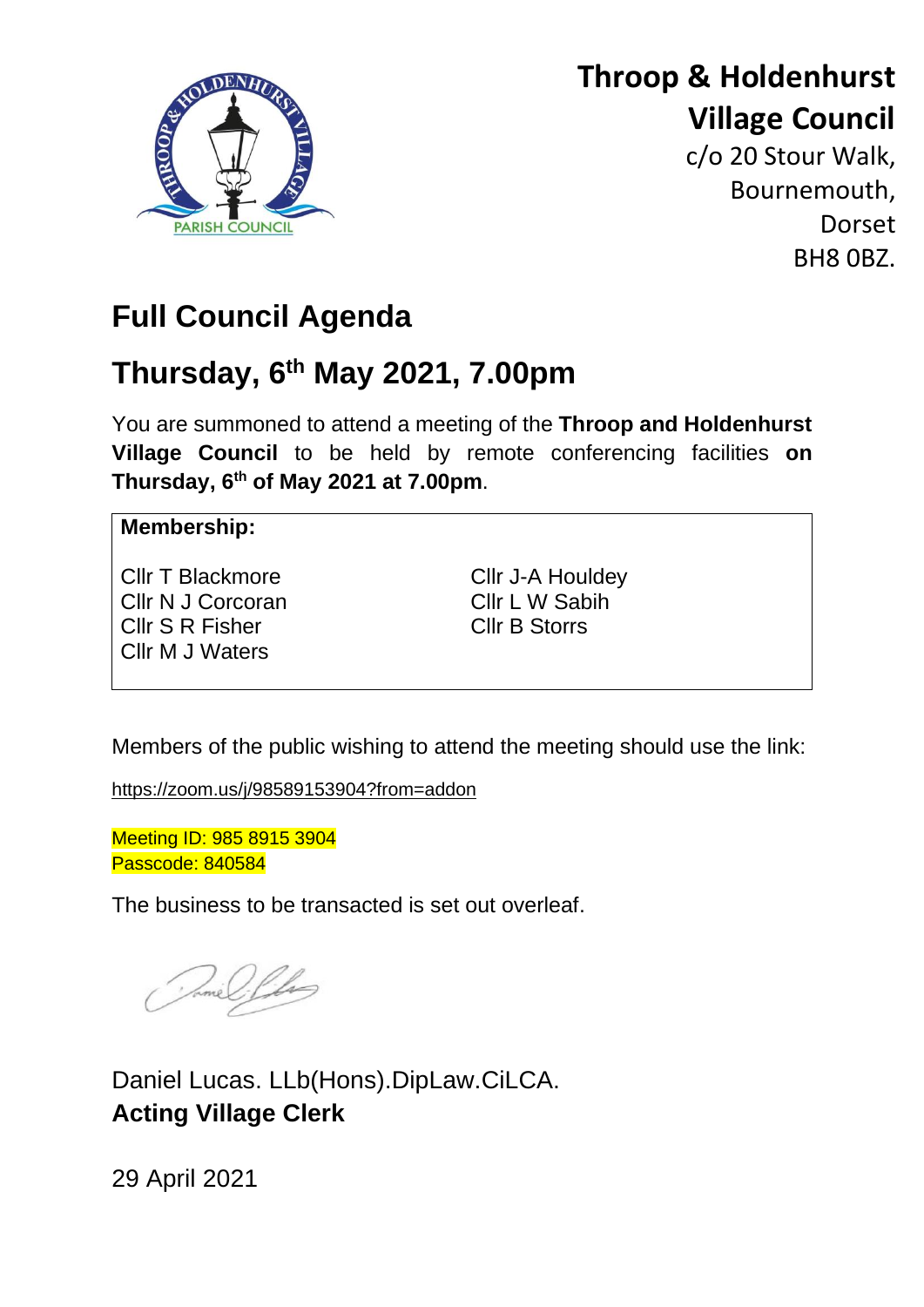

# **Throop & Holdenhurst Village Council**

c/o 20 Stour Walk, Bournemouth, **Dorset** BH8 0BZ.

# **Full Council Agenda**

# **Thursday, 6 th May 2021, 7.00pm**

You are summoned to attend a meeting of the **Throop and Holdenhurst Village Council** to be held by remote conferencing facilities **on Thursday, 6 th of May 2021 at 7.00pm**.

# **Membership:**

Cllr T Blackmore Cllr N J Corcoran Cllr S R Fisher Cllr M J Waters

Cllr J-A Houldey Cllr L W Sabih Cllr B Storrs

Members of the public wishing to attend the meeting should use the link:

<https://zoom.us/j/98589153904?from=addon>

Meeting ID: 985 8915 3904 Passcode: 840584

The business to be transacted is set out overleaf.

Jame Lilas

Daniel Lucas. LLb(Hons).DipLaw.CiLCA. **Acting Village Clerk**

29 April 2021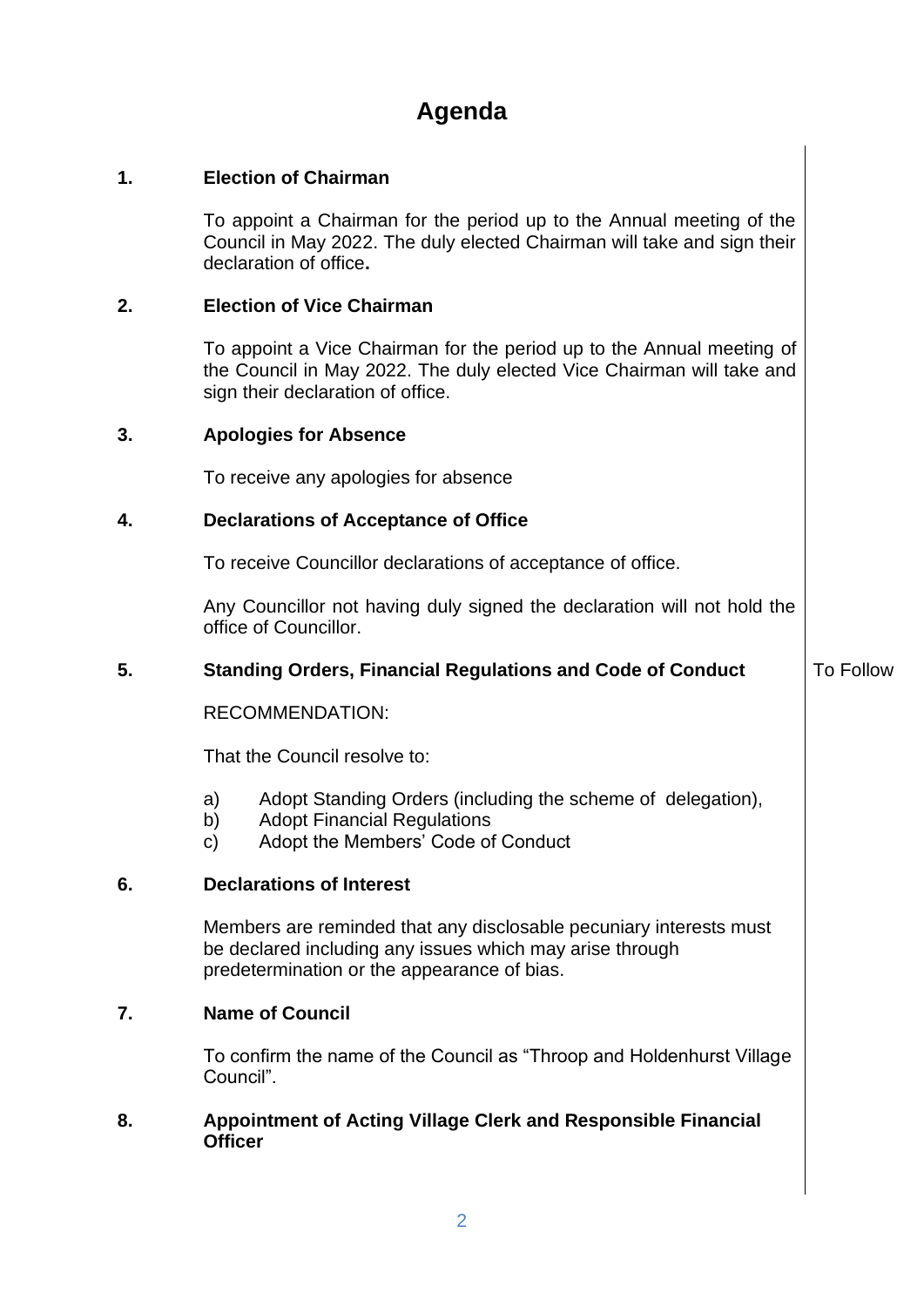# **Agenda**

# **1. Election of Chairman**

To appoint a Chairman for the period up to the Annual meeting of the Council in May 2022. The duly elected Chairman will take and sign their declaration of office**.**

## **2. Election of Vice Chairman**

To appoint a Vice Chairman for the period up to the Annual meeting of the Council in May 2022. The duly elected Vice Chairman will take and sign their declaration of office.

## **3. Apologies for Absence**

To receive any apologies for absence

# **4. Declarations of Acceptance of Office**

To receive Councillor declarations of acceptance of office.

Any Councillor not having duly signed the declaration will not hold the office of Councillor.

# **5. Standing Orders, Financial Regulations and Code of Conduct**

To Follow

# RECOMMENDATION:

That the Council resolve to:

- a) Adopt Standing Orders (including the scheme of delegation),
- b) Adopt Financial Regulations
- c) Adopt the Members' Code of Conduct

# **6. Declarations of Interest**

Members are reminded that any disclosable pecuniary interests must be declared including any issues which may arise through predetermination or the appearance of bias.

# **7. Name of Council**

To confirm the name of the Council as "Throop and Holdenhurst Village Council".

# **8. Appointment of Acting Village Clerk and Responsible Financial Officer**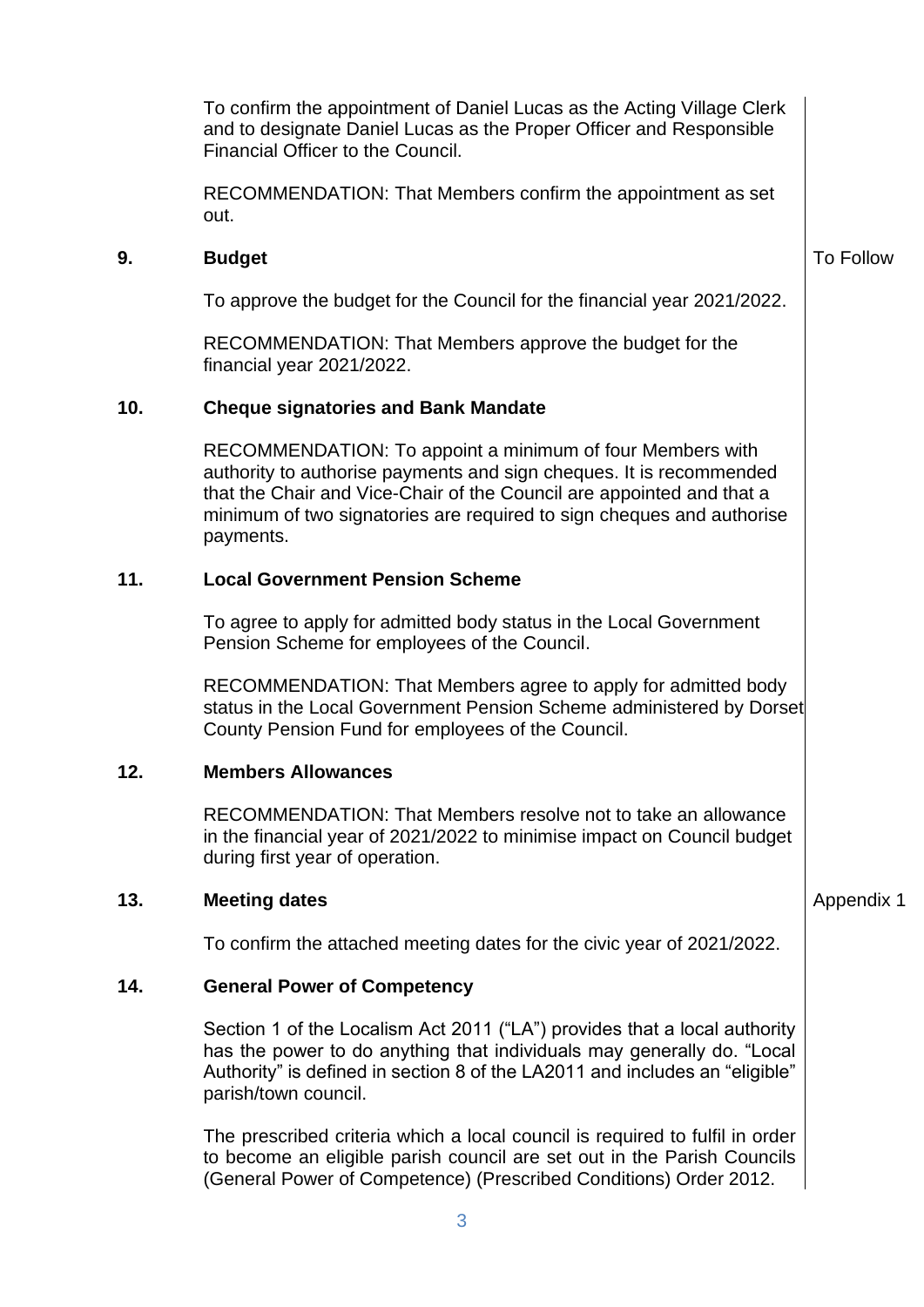To confirm the appointment of Daniel Lucas as the Acting Village Clerk and to designate Daniel Lucas as the Proper Officer and Responsible Financial Officer to the Council.

RECOMMENDATION: That Members confirm the appointment as set out.

## **9. Budget**

To approve the budget for the Council for the financial year 2021/2022.

RECOMMENDATION: That Members approve the budget for the financial year 2021/2022.

## **10. Cheque signatories and Bank Mandate**

RECOMMENDATION: To appoint a minimum of four Members with authority to authorise payments and sign cheques. It is recommended that the Chair and Vice-Chair of the Council are appointed and that a minimum of two signatories are required to sign cheques and authorise payments.

## **11. Local Government Pension Scheme**

To agree to apply for admitted body status in the Local Government Pension Scheme for employees of the Council.

RECOMMENDATION: That Members agree to apply for admitted body status in the Local Government Pension Scheme administered by Dorset County Pension Fund for employees of the Council.

# **12. Members Allowances**

RECOMMENDATION: That Members resolve not to take an allowance in the financial year of 2021/2022 to minimise impact on Council budget during first year of operation.

#### **13. Meeting dates**

To confirm the attached meeting dates for the civic year of 2021/2022.

#### **14. General Power of Competency**

Section 1 of the Localism Act 2011 ("LA") provides that a local authority has the power to do anything that individuals may generally do. "Local Authority" is defined in section 8 of the LA2011 and includes an "eligible" parish/town council.

The prescribed criteria which a local council is required to fulfil in order to become an eligible parish council are set out in the Parish Councils (General Power of Competence) (Prescribed Conditions) Order 2012.

Appendix 1

To Follow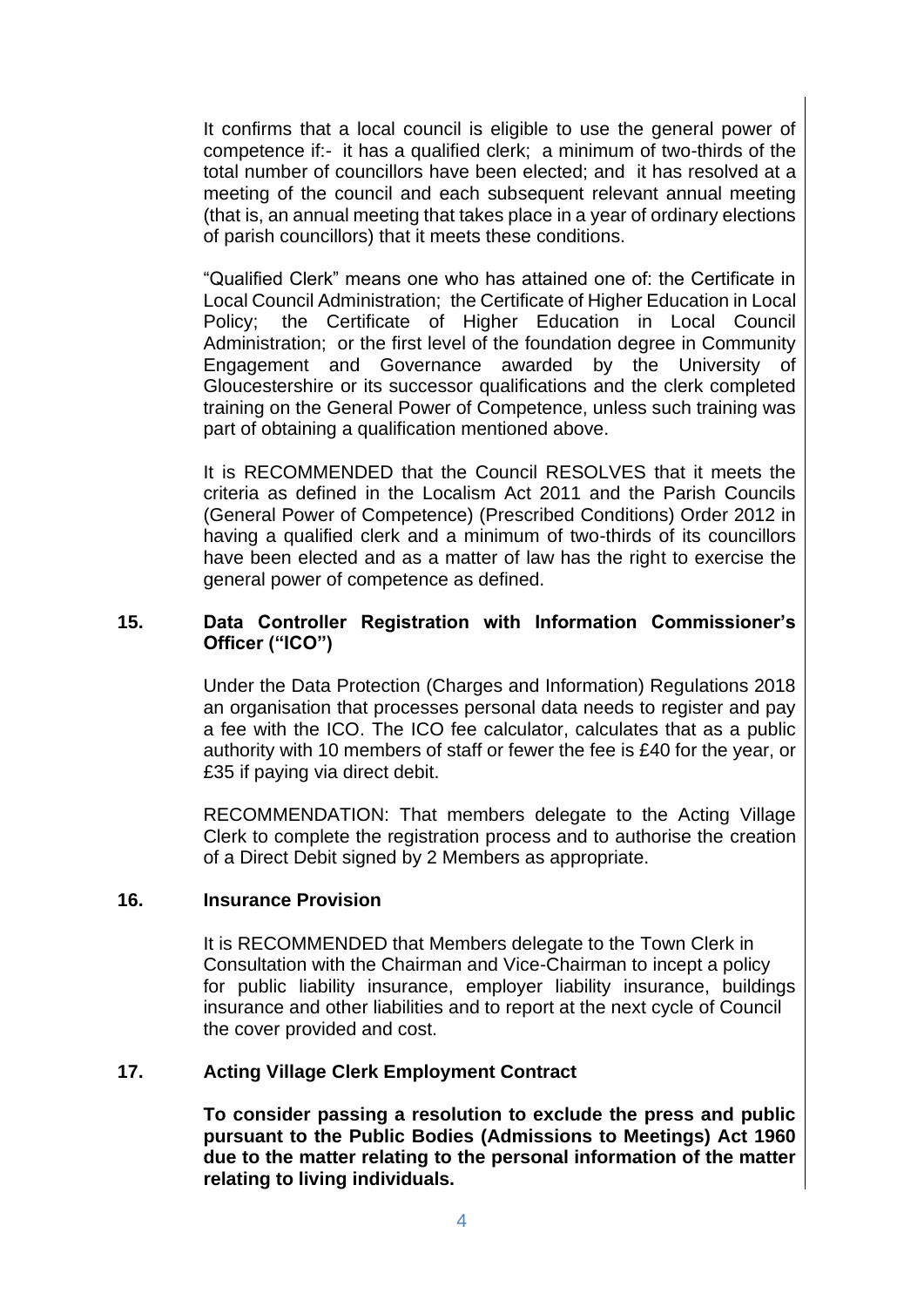It confirms that a local council is eligible to use the general power of competence if:- it has a qualified clerk; a minimum of two-thirds of the total number of councillors have been elected; and it has resolved at a meeting of the council and each subsequent relevant annual meeting (that is, an annual meeting that takes place in a year of ordinary elections of parish councillors) that it meets these conditions.

"Qualified Clerk" means one who has attained one of: the Certificate in Local Council Administration; the Certificate of Higher Education in Local Policy; the Certificate of Higher Education in Local Council Administration; or the first level of the foundation degree in Community Engagement and Governance awarded by the University of Gloucestershire or its successor qualifications and the clerk completed training on the General Power of Competence, unless such training was part of obtaining a qualification mentioned above.

It is RECOMMENDED that the Council RESOLVES that it meets the criteria as defined in the Localism Act 2011 and the Parish Councils (General Power of Competence) (Prescribed Conditions) Order 2012 in having a qualified clerk and a minimum of two-thirds of its councillors have been elected and as a matter of law has the right to exercise the general power of competence as defined.

# **15. Data Controller Registration with Information Commissioner's Officer ("ICO")**

Under the Data Protection (Charges and Information) Regulations 2018 an organisation that processes personal data needs to register and pay a fee with the ICO. The ICO fee calculator, calculates that as a public authority with 10 members of staff or fewer the fee is £40 for the year, or £35 if paying via direct debit.

RECOMMENDATION: That members delegate to the Acting Village Clerk to complete the registration process and to authorise the creation of a Direct Debit signed by 2 Members as appropriate.

# **16. Insurance Provision**

It is RECOMMENDED that Members delegate to the Town Clerk in Consultation with the Chairman and Vice-Chairman to incept a policy for public liability insurance, employer liability insurance, buildings insurance and other liabilities and to report at the next cycle of Council the cover provided and cost.

# **17. Acting Village Clerk Employment Contract**

**To consider passing a resolution to exclude the press and public pursuant to the Public Bodies (Admissions to Meetings) Act 1960 due to the matter relating to the personal information of the matter relating to living individuals.**